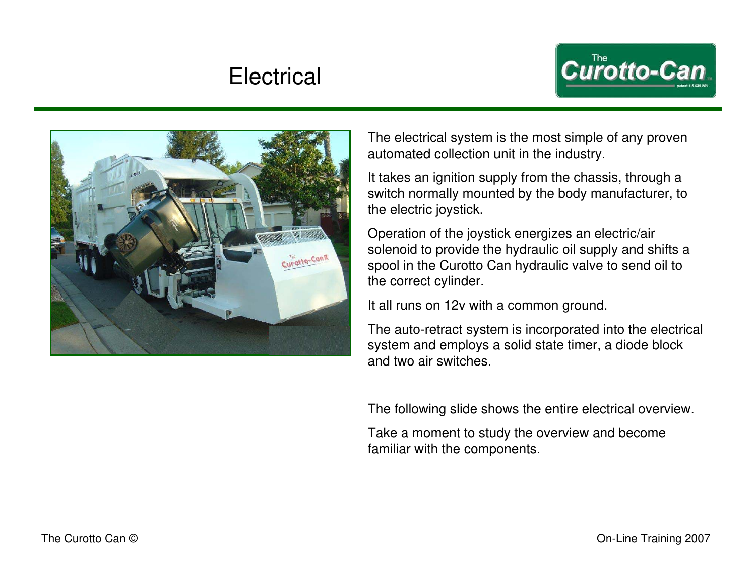# **Electrical**





The electrical system is the most simple of any proven automated collection unit in the industry.

It takes an ignition supply from the chassis, through a switch normally mounted by the body manufacturer, to the electric joystick.

Operation of the joystick energizes an electric/air solenoid to provide the hydraulic oil supply and shifts a spool in the Curotto Can hydraulic valve to send oil to the correct cylinder.

It all runs on 12v with a common ground.

The auto-retract system is incorporated into the electrical system and employs a solid state timer, a diode block and two air switches.

The following slide shows the entire electrical overview.

Take a moment to study the overview and become familiar with the components.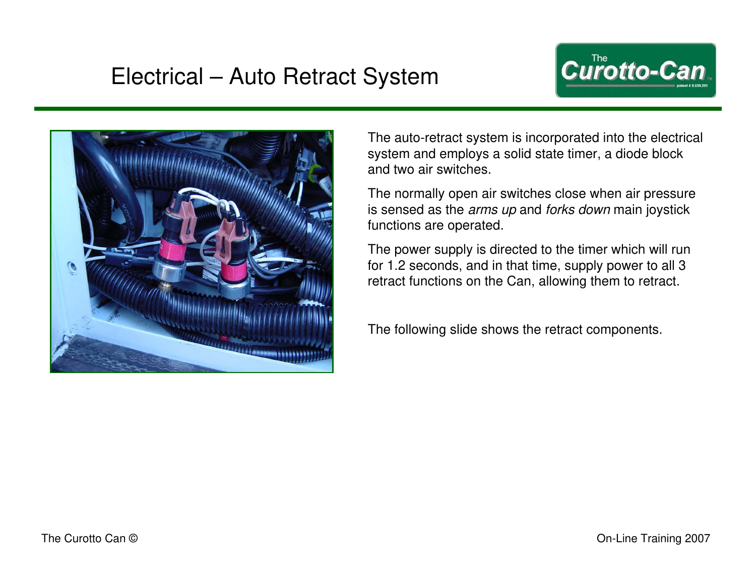# Electrical – Auto Retract System





The auto-retract system is incorporated into the electrical system and employs a solid state timer, a diode block and two air switches.

The normally open air switches close when air pressure is sensed as the *arms up* and *forks down* main joystick functions are operated.

The power supply is directed to the timer which will run for 1.2 seconds, and in that time, supply power to all 3 retract functions on the Can, allowing them to retract.

The following slide shows the retract components.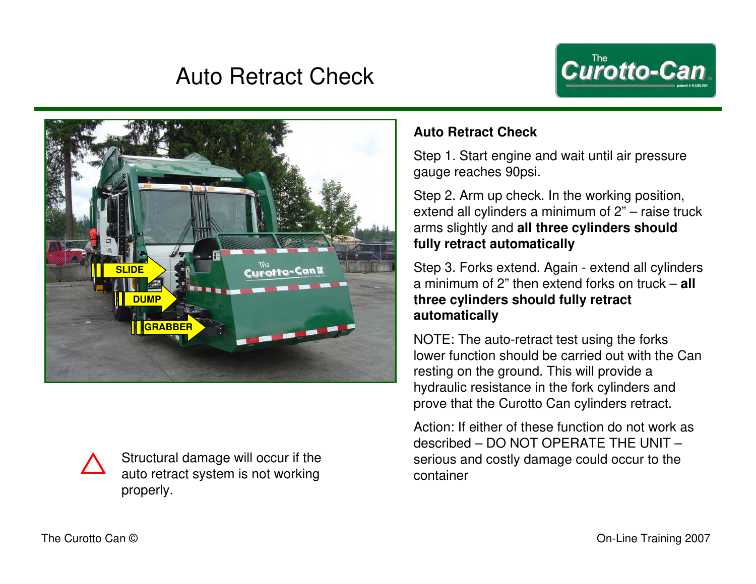# Auto Retract Check





Structural damage will occur if the auto retract system is not working properly.

#### **Auto Retract Check**

Step 1. Start engine and wait until air pressure gauge reaches 90psi.

Step 2. Arm up check. In the working position, extend all cylinders a minimum of 2" – raise truck arms slightly and **all three cylinders should fully retract automatically**

Step 3. Forks extend. Again - extend all cylinders a minimum of 2" then extend forks on truck – **all three cylinders should fully retract automatically**

NOTE: The auto-retract test using the forks lower function should be carried out with the Can resting on the ground. This will provide a hydraulic resistance in the fork cylinders and prove that the Curotto Can cylinders retract.

Action: If either of these function do not work as described – DO NOT OPERATE THE UNIT – serious and costly damage could occur to the container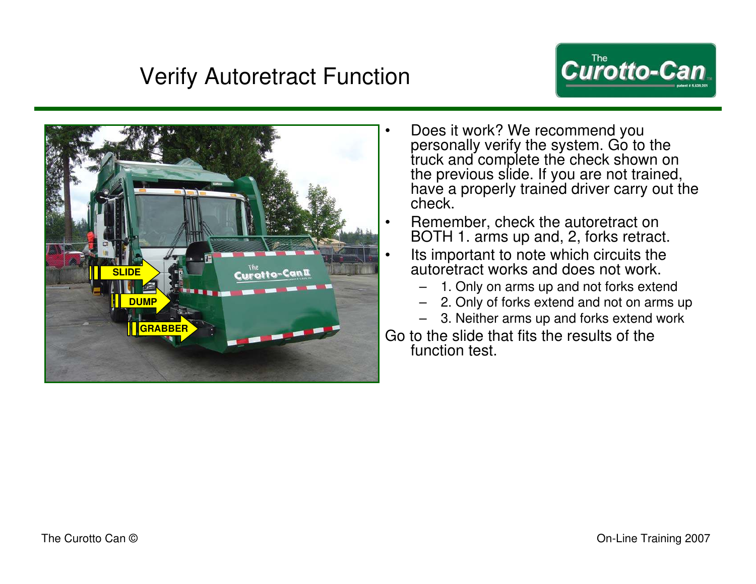# Verify Autoretract Function





- Does it work? We recommend you personally verify the system. Go to the truck and complete the check shown on the previous slide. If you are not trained, have a properly trained driver carry out the check.
- Remember, check the autoretract on BOTH 1. arms up and, 2, forks retract.
- Its important to note which circuits the autoretract works and does not work.
	- 1. Only on arms up and not forks extend
	- 2. Only of forks extend and not on arms up
	- 3. Neither arms up and forks extend work

Go to the slide that fits the results of the function test.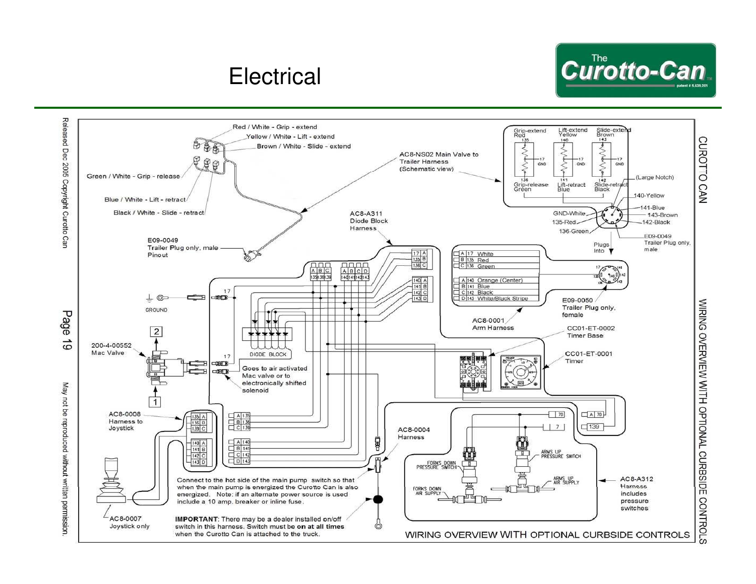# **Electrical**



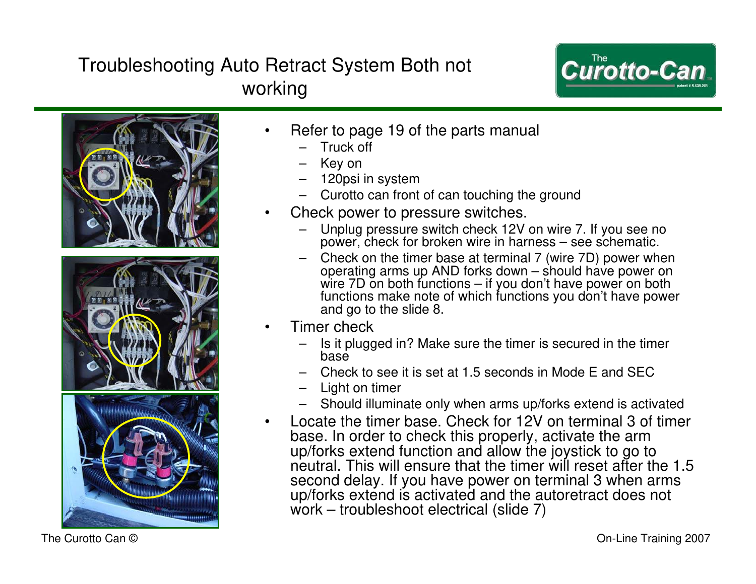### Troubleshooting Auto Retract System Both not working







• Refer to page 19 of the parts manual

- Truck off
- Key on
- 120psi in system
- Curotto can front of can touching the ground
- Check power to pressure switches.
	- Unplug pressure switch check 12V on wire 7. If you see no power, check for broken wire in harness – see schematic.
	- Check on the timer base at terminal 7 (wire 7D) power when operating arms up AND forks down – should have power on wire 7D on both functions – if you don't have power on both functions make note of which functions you don't have power and go to the slide 8.
- Timer check
	- Is it plugged in? Make sure the timer is secured in the timer base
	- Check to see it is set at 1.5 seconds in Mode E and SEC
	- Light on timer
	- Should illuminate only when arms up/forks extend is activated
- Locate the timer base. Check for 12V on terminal 3 of timer base. In order to check this properly, activate the arm up/forks extend function and allow the joystick to go to neutral. This will ensure that the timer will reset after the 1.5 second delay. If you have power on terminal 3 when arms up/forks extend is activated and the autoretract does not work – troubleshoot electrical (slide 7)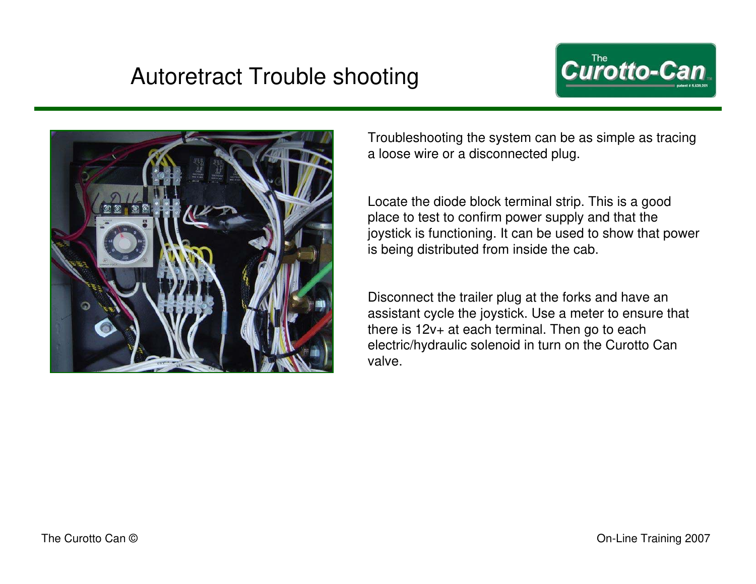# Autoretract Trouble shooting





Troubleshooting the system can be as simple as tracing a loose wire or a disconnected plug.

Locate the diode block terminal strip. This is a good place to test to confirm power supply and that the joystick is functioning. It can be used to show that power is being distributed from inside the cab.

Disconnect the trailer plug at the forks and have an assistant cycle the joystick. Use a meter to ensure that there is 12v+ at each terminal. Then go to each electric/hydraulic solenoid in turn on the Curotto Can valve.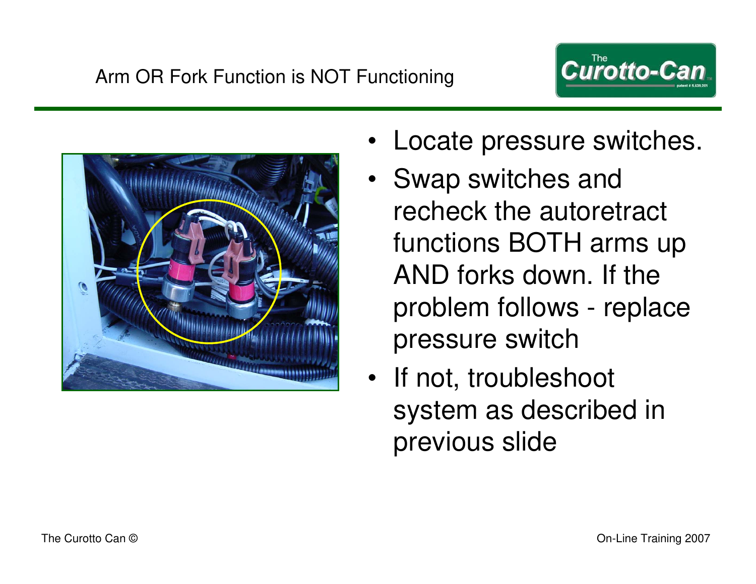



- Locate pressure switches.
- Swap switches and recheck the autoretract functions BOTH arms up AND forks down. If the problem follows - replace pressure switch
- If not, troubleshoot system as described in previous slide